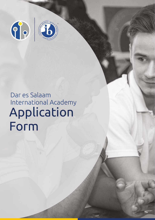



# Application Form Dar es Salaam International Academy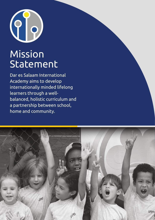

# Mission Statement

Dar es Salaam International Academy aims to develop internationally minded lifelong learners through a wellbalanced, holistic curriculum and a partnership between school, home and community.

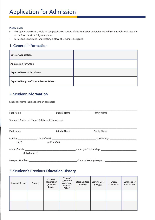#### Please note:

- This application form should be competed after review of the Admissions Package and Admissions Policy All sections of the form must be fully completed
- Terms and Conditions for accepting a place at DIA must be signed

#### 1. General Information

| Date of Application                      |  |
|------------------------------------------|--|
| <b>Application for Grade</b>             |  |
| <b>Expected Date of Enrolment</b>        |  |
| Expected Length of Stay in Dar es Salaam |  |

## 2. Student Information

Student's Name (as it appears on passport)

| <b>First Name</b> | Middle Name                                                                                    | Family Name               |  |
|-------------------|------------------------------------------------------------------------------------------------|---------------------------|--|
|                   | Student's Preferred Name (if different from above)                                             |                           |  |
| <b>First Name</b> | Middle Name                                                                                    | Family Name               |  |
| (M/F)             | Gender _______________________ Date of Birth ___________________________________<br>(dd/mm/yy) | Current Age _____________ |  |
| (City/Country)    |                                                                                                |                           |  |
| Passport Number:  |                                                                                                | Country Issuing Passport: |  |

## 3. Student's Previous Education History

| Name of School | Country | Contact<br>Information<br>(Phone &<br>Email) | Type of<br>Curriculum<br>(American/<br>British/<br>Other) | <b>Starting Date</b><br>(mm/yy) | <b>Leaving Date</b><br>(mm/yy) | Grades<br>Completed | Language of<br>Instruction |
|----------------|---------|----------------------------------------------|-----------------------------------------------------------|---------------------------------|--------------------------------|---------------------|----------------------------|
|                |         |                                              |                                                           |                                 |                                |                     |                            |
|                |         |                                              |                                                           |                                 |                                |                     |                            |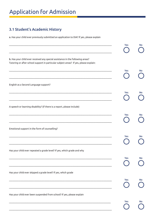## 3.1 Student's Academic History

a. Has your child ever previously submitted an application to DIA? If yes, please explain

|                                                                                                                                                                         | <b>Yes</b> | No        |
|-------------------------------------------------------------------------------------------------------------------------------------------------------------------------|------------|-----------|
| b. Has your child ever received any special assistance in the following areas?<br>Tutoring or after school support in particular subject areas? If yes, please explain: | Yes        | <b>No</b> |
| English as a Second Language support?                                                                                                                                   |            |           |
|                                                                                                                                                                         | Yes        | <b>No</b> |
| A speech or learning disability? (if there is a report, please include)                                                                                                 |            |           |
|                                                                                                                                                                         | Yes:       | <b>No</b> |
| Emotional support in the form of counselling?                                                                                                                           |            |           |
|                                                                                                                                                                         | Yes:       | <b>No</b> |
| Has your child ever repeated a grade level? If yes, which grade and why                                                                                                 |            |           |
|                                                                                                                                                                         | <b>Yes</b> | <b>No</b> |
| Has your child ever skipped a grade level? If yes, which grade                                                                                                          |            |           |
|                                                                                                                                                                         | <b>Yes</b> | No        |
| Has your child ever been suspended from school? If yes, please explain                                                                                                  |            |           |
|                                                                                                                                                                         | <b>Yes</b> | <b>No</b> |
|                                                                                                                                                                         |            |           |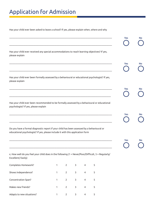Has your child ever been asked to leave a school? If yes, please explain when, where and why

|                                                                                                                                                                              |            |          |                  |              |          | <b>Yes</b> | No        |
|------------------------------------------------------------------------------------------------------------------------------------------------------------------------------|------------|----------|------------------|--------------|----------|------------|-----------|
| Has your child ever received any special accommodations to reach learning objectives? If yes,<br>please explain                                                              |            |          |                  |              |          |            |           |
|                                                                                                                                                                              |            |          |                  |              |          | <b>Yes</b> | No.       |
| Has your child ever been formally assessed by a behavioural or educational psychologist? If yes,<br>please explain                                                           |            |          |                  |              |          |            |           |
|                                                                                                                                                                              |            |          |                  |              |          | <b>Yes</b> | No        |
| Has your child ever been recommended to be formally assessed by a behavioural or educational<br>psychologist? If yes, please explain                                         |            |          |                  |              |          |            |           |
|                                                                                                                                                                              |            |          |                  |              |          | Yes        | No        |
| Do you have a formal diagnostic report if your child has been assessed by a behavioural or<br>educational psychologist? If yes, please include it with this application form |            |          |                  |              |          |            |           |
|                                                                                                                                                                              |            |          |                  |              |          | <b>Yes</b> | <b>No</b> |
| c. How well do you feel your child does in the following ( $1 =$ Never/Poor/Difficult, $5 =$ Regularly/<br>Excellent/Easily)                                                 |            |          |                  |              |          |            |           |
| Completes Homework?                                                                                                                                                          | $\sigma^2$ | $\sigma$ | $\sum_{i=1}^{3}$ | $\bigodot^4$ | $\sigma$ |            |           |

Shows Independence?  $\begin{array}{cccc} 1 & 2 & 3 & 4 & 5 \end{array}$ Concentration Span? 1 2 3 4 5 Makes new friends?  $\begin{array}{ccc} 1 & 2 & 3 & 4 \end{array}$ Adapts to new situations?  $\begin{matrix} 1 & 2 & 3 & 4 & 5 \ 0 & 0 & 0 & 0 \end{matrix}$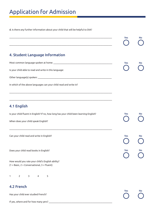d. Is there any further information about your child that will be helpful to DIA?

|                                                                                                 | <b>Yes</b> | No        |
|-------------------------------------------------------------------------------------------------|------------|-----------|
| 4. Student Language Information                                                                 |            |           |
|                                                                                                 | <b>Yes</b> | No        |
| Is your child able to read and write in this language:                                          |            |           |
|                                                                                                 |            |           |
| In which of the above languages can your child read and write in?                               |            |           |
| 4.1 English                                                                                     |            |           |
| Is your child fluent in English? If no, how long has your child been learning English?          | <b>Yes</b> | <b>No</b> |
| When does your child speak English?                                                             |            |           |
| Can your child read and write in English?                                                       | <b>Yes</b> | No        |
| Does your child read books in English?                                                          | <b>Yes</b> | No        |
| How would you rate your child's English ability?<br>$(1 = Basic, 2 = Conversional, 3 = Fluent)$ |            |           |
| $\bigcirc$ <sup>1</sup><br>$\bigcirc^2$ $\bigcirc^3$ $\bigcirc^4$ $\bigcirc^5$                  |            |           |
| <b>4.2 French</b>                                                                               | <b>Yes</b> | <b>No</b> |
| Has your child ever studied French?                                                             |            |           |
|                                                                                                 |            |           |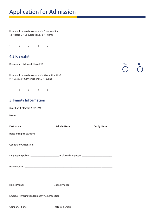How would you rate your child's French ability  $(1 = Basic, 2 = Conversional, 3 = Fluent)$ 



#### 4.3 Kiswahili

Does your child speak Kiswahili?

How would you rate your child's Kiswahili ability?  $(1 = Basic, 2 = Conversional, 3 = Fluent)$ 

## $\begin{array}{ccc} \n\stackrel{1}{\circ} & \stackrel{2}{\circ} & \stackrel{3}{\circ} & \stackrel{4}{\circ} & \stackrel{5}{\circ} \n\end{array}$

### 5. Family Information

Guardian 1 / Parent 1 (G1/P1)

Name:

| <b>First Name</b> | Middle Name                                                                      | Family Name |
|-------------------|----------------------------------------------------------------------------------|-------------|
|                   |                                                                                  |             |
|                   |                                                                                  |             |
|                   |                                                                                  |             |
|                   |                                                                                  |             |
|                   |                                                                                  |             |
|                   | Employer Information (company name/position) ___________________________________ |             |
|                   |                                                                                  |             |

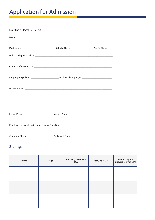#### Guardian 2 / Parent 2 (G2/P2)

| Name:             |                                                                                                                                                              |             |
|-------------------|--------------------------------------------------------------------------------------------------------------------------------------------------------------|-------------|
| <b>First Name</b> | Middle Name                                                                                                                                                  | Family Name |
|                   |                                                                                                                                                              |             |
|                   |                                                                                                                                                              |             |
|                   |                                                                                                                                                              |             |
|                   |                                                                                                                                                              |             |
|                   | ,我们也不能在这里的时候,我们也不能在这里的时候,我们也不能会在这里的时候,我们也不能会在这里的时候,我们也不能会在这里的时候,我们也不能会在这里的时候,我们也不<br><u>,这就是一个人的人,我们就是一个人的人,我们就是一个人的人,我们就是一个人的人,我们就是一个人的人,我们就是一个人的人,我们就是</u> |             |
|                   |                                                                                                                                                              |             |
|                   | Employer Information (company name/position) ___________________________________                                                                             |             |
|                   |                                                                                                                                                              |             |

### Siblings:

| Names | Age | Currently Attending<br><b>DIA</b> | Applying to DIA | School they are<br>studying at if not DIA) |
|-------|-----|-----------------------------------|-----------------|--------------------------------------------|
|       |     |                                   |                 |                                            |
|       |     |                                   |                 |                                            |
|       |     |                                   |                 |                                            |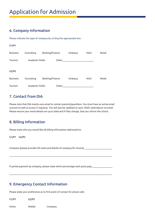Please indicate the type of company by circling the appropriate box:

#### 6. Company Information

| G1/P1             |                                                                   |                    |       |                  |
|-------------------|-------------------------------------------------------------------|--------------------|-------|------------------|
|                   | Business $\bigcap$ Consulting $\bigcap$ Banking/Finance $\bigcap$ | Embassy $\bigcap$  | NGO   | Retail $\bigcap$ |
| Tourism $\bigcap$ | Academic Fields $\bigcap$                                         | Other              |       |                  |
| G2/P2             |                                                                   |                    |       |                  |
|                   |                                                                   |                    |       |                  |
|                   | Business $\bigcap$ Consulting $\bigcap$ Banking/Finance $\bigcap$ | Embassy $\bigcirc$ | NGO() | Retail()         |
| Tourism $\bigcap$ | Academic Fields $\bigcap$                                         | Other              |       |                  |

#### 7. Contact from DIA

Please note that DIA mainly uses email to contact parents/guardians. You must have an active email account as well as access it regularly. You will also be updated on your child's attendance via email. Please ensure your email details are up to date and if they change, that you inform the school.

#### 8. Billing Information

Please state who you would like all billing information addressed to:

G1/P1 G2/P2  $\bigcap$  $\bigcirc$ 

Company (please provide full name and details of company for invoice) \_\_\_\_\_\_\_\_\_\_\_\_\_\_\_\_\_\_\_\_\_\_\_\_

 $\_$  . The contribution of the contribution of the contribution of the contribution of  $\mathcal{L}_1$ 

If partial payment by company, please state which percentage each party pays\_

 $\_$  , and the set of the set of the set of the set of the set of the set of the set of the set of the set of the set of the set of the set of the set of the set of the set of the set of the set of the set of the set of th

#### 9. Emergency Contact Information

Please state your preference as to first point of contact for phone calls

Company  $\bigcirc$ 

| G1/P1          | G2/P2            |
|----------------|------------------|
| Home $\bigcap$ | Mobile $\bigcap$ |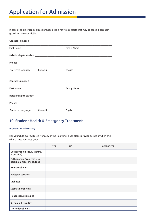In case of an emergency, please provide details for two contacts that may be called if parents/ guardians are unavailable.

| <b>Contact Number 1</b>                 |                     |                                                                                                                                                                                                                               |
|-----------------------------------------|---------------------|-------------------------------------------------------------------------------------------------------------------------------------------------------------------------------------------------------------------------------|
| <b>First Name</b>                       |                     | <b>Family Name</b>                                                                                                                                                                                                            |
|                                         |                     |                                                                                                                                                                                                                               |
|                                         |                     |                                                                                                                                                                                                                               |
| Preferred language: Kiswahili $\bigcap$ |                     | English $\bigcirc$                                                                                                                                                                                                            |
| <b>Contact Number 2</b>                 |                     |                                                                                                                                                                                                                               |
| <b>First Name</b>                       |                     | <b>Family Name</b>                                                                                                                                                                                                            |
|                                         |                     |                                                                                                                                                                                                                               |
|                                         |                     | Phone: with a state of the state of the state of the state of the state of the state of the state of the state of the state of the state of the state of the state of the state of the state of the state of the state of the |
| Preferred language:                     | Kiswahili $\bigcap$ | English $\bigcap$                                                                                                                                                                                                             |

#### 10. Student Health & Emergency Treatment

#### Previous Health History

Has your child ever suffered from any of the following, if yes please provide details of when and where treatment was given

|                                                             | <b>YES</b> | <b>NO</b> | <b>COMMENTS</b> |
|-------------------------------------------------------------|------------|-----------|-----------------|
| Chest problems (e.g. asthma,<br>bronchitis)                 |            |           |                 |
| Orthopaedic Problems (e.g.<br>back pain, hips, knees, feet) |            |           |                 |
| <b>Heart Problems</b>                                       |            |           |                 |
| Epilepsy, seizures                                          |            |           |                 |
| <b>Diabetes</b>                                             |            |           |                 |
| Stomach problems                                            |            |           |                 |
| <b>Headaches/Migraines</b>                                  |            |           |                 |
| <b>Sleeping difficulties</b>                                |            |           |                 |
| Thyroid problems                                            |            |           |                 |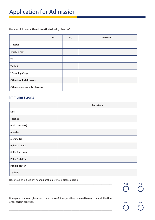Has your child ever suffered from the following diseases?

|                             | <b>YES</b> | <b>NO</b> | <b>COMMENTS</b> |
|-----------------------------|------------|-----------|-----------------|
| Measles                     |            |           |                 |
| <b>Chicken Pox</b>          |            |           |                 |
| TB                          |            |           |                 |
| <b>Typhoid</b>              |            |           |                 |
| <b>Whooping Cough</b>       |            |           |                 |
| Other tropical diseases     |            |           |                 |
| Other communicable diseases |            |           |                 |

### Immunisations

|                        | Date Given |
|------------------------|------------|
| <b>DPT</b>             |            |
| Tetanus                |            |
| <b>BCG</b> (Tine Test) |            |
| Measles                |            |
| Meningitis             |            |
| Polio: 1st dose        |            |
| Polio: 2nd dose        |            |
| Polio: 3rd dose        |            |
| Polio: booster         |            |
| <b>Typhoid</b>         |            |

Does your child have any hearing problems? If yes, please explain

Yes No - 3

Yes No

Does your child wear glasses or contact lenses? If yes, are they required to wear them all the time or for certain activities?

 $\_$  ,  $\_$  ,  $\_$  ,  $\_$  ,  $\_$  ,  $\_$  ,  $\_$  ,  $\_$  ,  $\_$  ,  $\_$  ,  $\_$  ,  $\_$  ,  $\_$  ,  $\_$  ,  $\_$  ,  $\_$  ,  $\_$  ,  $\_$  ,  $\_$  ,  $\_$  ,  $\_$  ,  $\_$  ,  $\_$  ,  $\_$  ,  $\_$  ,  $\_$  ,  $\_$  ,  $\_$  ,  $\_$  ,  $\_$  ,  $\_$  ,  $\_$  ,  $\_$  ,  $\_$  ,  $\_$  ,  $\_$  ,  $\_$  ,

 $\mathcal{L}_\mathcal{L} = \{ \mathcal{L}_\mathcal{L} = \{ \mathcal{L}_\mathcal{L} = \{ \mathcal{L}_\mathcal{L} = \{ \mathcal{L}_\mathcal{L} = \{ \mathcal{L}_\mathcal{L} = \{ \mathcal{L}_\mathcal{L} = \{ \mathcal{L}_\mathcal{L} = \{ \mathcal{L}_\mathcal{L} = \{ \mathcal{L}_\mathcal{L} = \{ \mathcal{L}_\mathcal{L} = \{ \mathcal{L}_\mathcal{L} = \{ \mathcal{L}_\mathcal{L} = \{ \mathcal{L}_\mathcal{L} = \{ \mathcal{L}_\mathcal{$ 

 $\mathcal{L}_\mathcal{L} = \{ \mathcal{L}_\mathcal{L} = \{ \mathcal{L}_\mathcal{L} = \{ \mathcal{L}_\mathcal{L} = \{ \mathcal{L}_\mathcal{L} = \{ \mathcal{L}_\mathcal{L} = \{ \mathcal{L}_\mathcal{L} = \{ \mathcal{L}_\mathcal{L} = \{ \mathcal{L}_\mathcal{L} = \{ \mathcal{L}_\mathcal{L} = \{ \mathcal{L}_\mathcal{L} = \{ \mathcal{L}_\mathcal{L} = \{ \mathcal{L}_\mathcal{L} = \{ \mathcal{L}_\mathcal{L} = \{ \mathcal{L}_\mathcal{$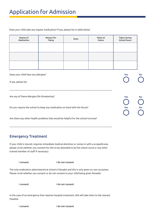Does your child take any regular medication? If yes, please list in table below

| Names of<br>Madication | Reason for<br>Takng | Dose | Taken at<br>Home | Taken during<br>School hours |
|------------------------|---------------------|------|------------------|------------------------------|
|                        |                     |      |                  |                              |
|                        |                     |      |                  |                              |
|                        |                     |      |                  |                              |

Yes No

Yes No

Yes No

Does your child have any allergies?

If yes, please list

Are any of these allergies life threatening?

Do you require the school to keep any medication on hand with the Nurse?

Are there any other health problems that would be helpful for the school to know?

 $\_$  ,  $\_$  ,  $\_$  ,  $\_$  ,  $\_$  ,  $\_$  ,  $\_$  ,  $\_$  ,  $\_$  ,  $\_$  ,  $\_$  ,  $\_$  ,  $\_$  ,  $\_$  ,  $\_$  ,  $\_$  ,  $\_$  ,  $\_$  ,  $\_$  ,  $\_$  ,  $\_$  ,  $\_$  ,  $\_$  ,  $\_$  ,  $\_$  ,  $\_$  ,  $\_$  ,  $\_$  ,  $\_$  ,  $\_$  ,  $\_$  ,  $\_$  ,  $\_$  ,  $\_$  ,  $\_$  ,  $\_$  ,  $\_$  ,

#### Emergency Treatment

If your child is injured, requires immediate medical attention or comes in with a scrape/bruise, please circle whether you consent for this to be attended to by the school nurse or any other trained member of staff if necessary:

 $\_$  ,  $\_$  ,  $\_$  ,  $\_$  ,  $\_$  ,  $\_$  ,  $\_$  ,  $\_$  ,  $\_$  ,  $\_$  ,  $\_$  ,  $\_$  ,  $\_$  ,  $\_$  ,  $\_$  ,  $\_$  ,  $\_$  ,  $\_$  ,  $\_$  ,  $\_$  ,  $\_$  ,  $\_$  ,  $\_$  ,  $\_$  ,  $\_$  ,  $\_$  ,  $\_$  ,  $\_$  ,  $\_$  ,  $\_$  ,  $\_$  ,  $\_$  ,  $\_$  ,  $\_$  ,  $\_$  ,  $\_$  ,  $\_$  ,

 $I$  consent  $\bigcap$   $I$  do not consent  $\bigcap$ 

The only medication administered at school is Panadol and this is only given on rare occasions. Please circle whether you consent or do not consent to your child being given Panadol:

 $I$  consent  $\bigcap$   $I$  do not consent  $\bigcap$ 

In the case of an emergency that requires hospital treatment, DIA will take them to the nearest hospital.

 $I$  consent  $\bigcap$   $I$  do not consent  $\bigcap$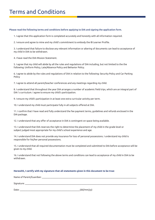#### Please read the following terms and conditions before applying to DIA and signing the application form.

1. I agree that this application form is completed accurately and honestly with all information required.

2. I ensure and agree to mine and my child's commitment to embody the IB Learner Profile.

3. I understand that failure to disclose any relevant information or altering of documents can lead to acceptance of my child in DIA to be withdrawn.

4. I have read the DIA Mission Statement.

5. I agree that my child will abide by all the rules and regulations of DIA including, but not limited to the the following: Uniform Policy, Late/Absence Policy and Behavior Policy.

6. I agree to abide by the rules and regulations of DIA in relation to the following: Security Policy and Car Parking Policy

7. I agree to attend all parent/teacher conferences and any meetings regarding my child.

8. I understand that throughout the year DIA arranges a number of academic field trips, which are an integral part of DIA 's curriculum. I agree to ensure my child's participation.

9. I ensure my child's participation in at least one extra curricular activity per term.

10. I understand my child must participate fully in all subjects offered at DIA.

11. I confirm that I have read and fully understand the fee payment terms, guidelines and refunds enclosed in the DIA package.

12. I understand that any offer of acceptance in DIA is contingent on space being available.

13. I understand that DIA reserves the right to determine the placement of my child in the grade level or subject judged most appropriate for my child's school experience and age.

14. I understand DIA does not provide any insurance for loss of personal possessions. I understand my child is responsible for his/her personal possessions.

15. I understand that all required documentation must be completed and submitted to DIA before acceptance will be given to my child.

16. I understand that not following the above terms and conditions can lead to acceptance of my child in DIA to be withdrawn.

#### **Herewith, I certify with my signature that all statements given in this document to be true:**

Name of Parent/Guardian: \_\_\_\_\_\_\_\_\_\_\_\_\_\_\_\_\_\_\_\_\_\_\_\_\_\_\_\_\_\_\_\_\_\_\_\_\_\_\_\_\_\_\_\_\_\_\_\_\_\_\_\_\_\_\_\_\_\_\_\_\_\_\_\_\_\_\_\_\_\_\_\_\_\_\_\_\_\_\_\_\_\_

Signature: \_\_\_\_\_\_\_\_\_\_\_\_\_\_\_\_\_\_\_\_\_\_\_\_\_\_\_\_\_\_\_\_\_\_\_\_\_\_\_\_\_\_\_\_\_\_\_\_\_\_\_\_\_\_\_\_\_\_\_\_\_\_\_\_\_\_\_\_\_\_\_\_\_\_\_\_\_\_\_\_\_\_\_\_\_\_\_\_\_\_\_\_\_\_\_\_\_

Date: \_\_\_\_\_\_\_\_\_\_\_\_\_\_\_\_\_\_\_\_\_\_\_\_\_\_\_\_\_\_\_\_\_\_\_\_\_\_\_\_\_\_\_\_\_\_\_\_\_\_\_\_(dd/mm/yy)